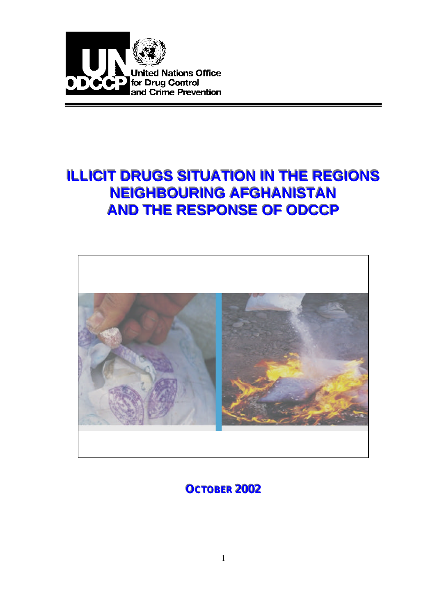

# **ILLICIT DRUGS SITUATION IN THE REGIONS NEIGHBOURING AFGHANISTAN AND THE RESPONSE OF ODCCP**



**OCTOBER 2002**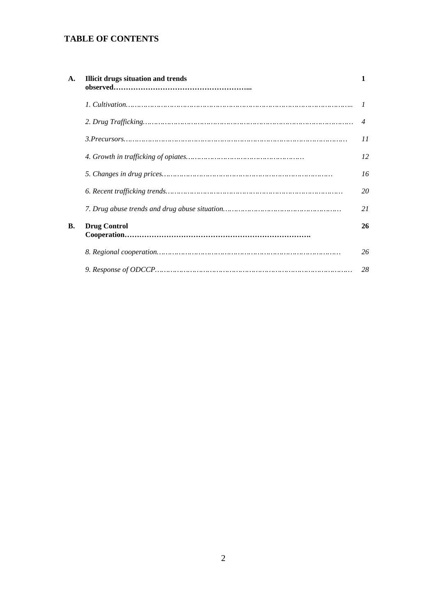# **TABLE OF CONTENTS**

| A.        | <b>Illicit drugs situation and trends</b> |                  |
|-----------|-------------------------------------------|------------------|
|           |                                           | $\boldsymbol{l}$ |
|           |                                           | $\overline{4}$   |
|           |                                           | 11               |
|           |                                           | 12               |
|           |                                           | 16               |
|           |                                           | 20               |
|           |                                           | 21               |
| <b>B.</b> | <b>Drug Control</b>                       | 26               |
|           |                                           | 26               |
|           |                                           | 28               |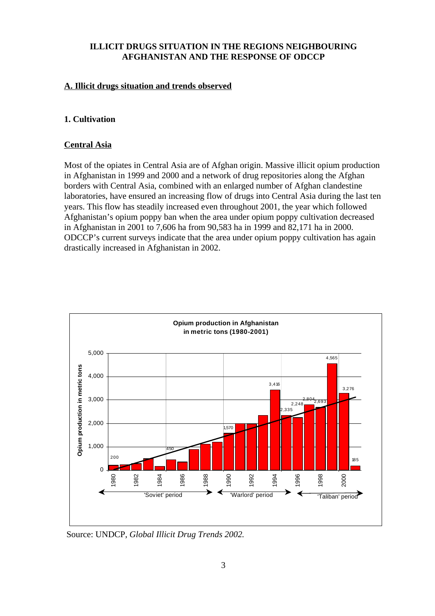# **ILLICIT DRUGS SITUATION IN THE REGIONS NEIGHBOURING AFGHANISTAN AND THE RESPONSE OF ODCCP**

# **A. Illicit drugs situation and trends observed**

#### **1. Cultivation**

#### **Central Asia**

Most of the opiates in Central Asia are of Afghan origin. Massive illicit opium production in Afghanistan in 1999 and 2000 and a network of drug repositories along the Afghan borders with Central Asia, combined with an enlarged number of Afghan clandestine laboratories, have ensured an increasing flow of drugs into Central Asia during the last ten years. This flow has steadily increased even throughout 2001, the year which followed Afghanistan's opium poppy ban when the area under opium poppy cultivation decreased in Afghanistan in 2001 to 7,606 ha from 90,583 ha in 1999 and 82,171 ha in 2000. ODCCP's current surveys indicate that the area under opium poppy cultivation has again drastically increased in Afghanistan in 2002.



Source: UNDCP, *Global Illicit Drug Trends 2002.*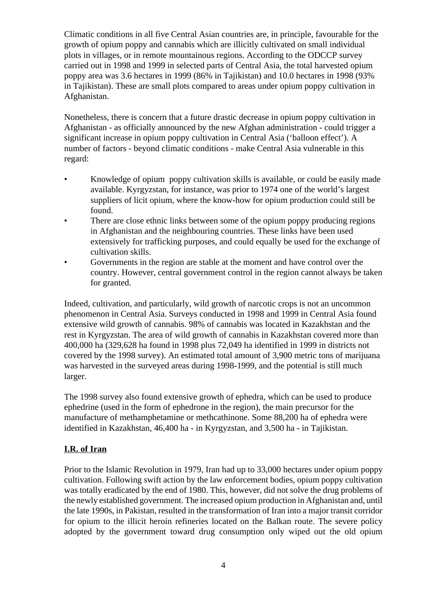Climatic conditions in all five Central Asian countries are, in principle, favourable for the growth of opium poppy and cannabis which are illicitly cultivated on small individual plots in villages, or in remote mountainous regions. According to the ODCCP survey carried out in 1998 and 1999 in selected parts of Central Asia, the total harvested opium poppy area was 3.6 hectares in 1999 (86% in Tajikistan) and 10.0 hectares in 1998 (93% in Tajikistan). These are small plots compared to areas under opium poppy cultivation in Afghanistan.

Nonetheless, there is concern that a future drastic decrease in opium poppy cultivation in Afghanistan - as officially announced by the new Afghan administration - could trigger a significant increase in opium poppy cultivation in Central Asia ('balloon effect'). A number of factors - beyond climatic conditions - make Central Asia vulnerable in this regard:

- Knowledge of opium poppy cultivation skills is available, or could be easily made available. Kyrgyzstan, for instance, was prior to 1974 one of the world's largest suppliers of licit opium, where the know-how for opium production could still be found.
- There are close ethnic links between some of the opium poppy producing regions in Afghanistan and the neighbouring countries. These links have been used extensively for trafficking purposes, and could equally be used for the exchange of cultivation skills.
- Governments in the region are stable at the moment and have control over the country. However, central government control in the region cannot always be taken for granted.

Indeed, cultivation, and particularly, wild growth of narcotic crops is not an uncommon phenomenon in Central Asia. Surveys conducted in 1998 and 1999 in Central Asia found extensive wild growth of cannabis. 98% of cannabis was located in Kazakhstan and the rest in Kyrgyzstan. The area of wild growth of cannabis in Kazakhstan covered more than 400,000 ha (329,628 ha found in 1998 plus 72,049 ha identified in 1999 in districts not covered by the 1998 survey). An estimated total amount of 3,900 metric tons of marijuana was harvested in the surveyed areas during 1998-1999, and the potential is still much larger.

The 1998 survey also found extensive growth of ephedra, which can be used to produce ephedrine (used in the form of ephedrone in the region), the main precursor for the manufacture of methamphetamine or methcathinone. Some 88,200 ha of ephedra were identified in Kazakhstan, 46,400 ha - in Kyrgyzstan, and 3,500 ha - in Tajikistan.

# **I.R. of Iran**

Prior to the Islamic Revolution in 1979, Iran had up to 33,000 hectares under opium poppy cultivation. Following swift action by the law enforcement bodies, opium poppy cultivation was totally eradicated by the end of 1980. This, however, did not solve the drug problems of the newly established government. The increased opium production in Afghanistan and, until the late 1990s, in Pakistan, resulted in the transformation of Iran into a major transit corridor for opium to the illicit heroin refineries located on the Balkan route. The severe policy adopted by the government toward drug consumption only wiped out the old opium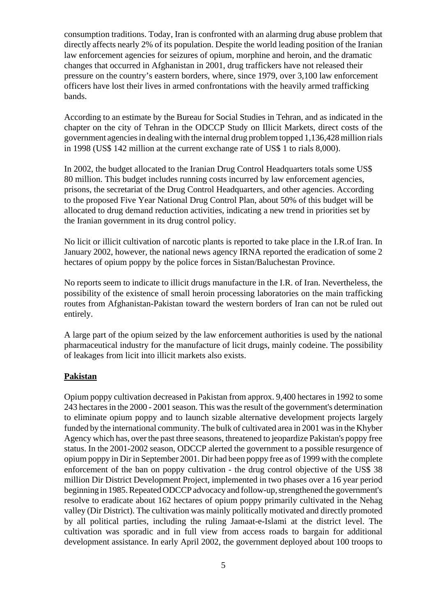consumption traditions. Today, Iran is confronted with an alarming drug abuse problem that directly affects nearly 2% of its population. Despite the world leading position of the Iranian law enforcement agencies for seizures of opium, morphine and heroin, and the dramatic changes that occurred in Afghanistan in 2001, drug traffickers have not released their pressure on the country's eastern borders, where, since 1979, over 3,100 law enforcement officers have lost their lives in armed confrontations with the heavily armed trafficking bands.

According to an estimate by the Bureau for Social Studies in Tehran, and as indicated in the chapter on the city of Tehran in the ODCCP Study on Illicit Markets, direct costs of the government agencies in dealing with the internal drug problem topped 1,136,428 million rials in 1998 (US\$ 142 million at the current exchange rate of US\$ 1 to rials 8,000).

In 2002, the budget allocated to the Iranian Drug Control Headquarters totals some US\$ 80 million. This budget includes running costs incurred by law enforcement agencies, prisons, the secretariat of the Drug Control Headquarters, and other agencies. According to the proposed Five Year National Drug Control Plan, about 50% of this budget will be allocated to drug demand reduction activities, indicating a new trend in priorities set by the Iranian government in its drug control policy.

No licit or illicit cultivation of narcotic plants is reported to take place in the I.R.of Iran. In January 2002, however, the national news agency IRNA reported the eradication of some 2 hectares of opium poppy by the police forces in Sistan/Baluchestan Province.

No reports seem to indicate to illicit drugs manufacture in the I.R. of Iran. Nevertheless, the possibility of the existence of small heroin processing laboratories on the main trafficking routes from Afghanistan-Pakistan toward the western borders of Iran can not be ruled out entirely.

A large part of the opium seized by the law enforcement authorities is used by the national pharmaceutical industry for the manufacture of licit drugs, mainly codeine. The possibility of leakages from licit into illicit markets also exists.

#### **Pakistan**

Opium poppy cultivation decreased in Pakistan from approx. 9,400 hectares in 1992 to some 243 hectares in the 2000 - 2001 season. This was the result of the government's determination to eliminate opium poppy and to launch sizable alternative development projects largely funded by the international community. The bulk of cultivated area in 2001 was in the Khyber Agency which has, over the past three seasons, threatened to jeopardize Pakistan's poppy free status. In the 2001-2002 season, ODCCP alerted the government to a possible resurgence of opium poppy in Dir in September 2001. Dir had been poppy free as of 1999 with the complete enforcement of the ban on poppy cultivation - the drug control objective of the US\$ 38 million Dir District Development Project, implemented in two phases over a 16 year period beginning in 1985. Repeated ODCCP advocacy and follow-up, strengthened the government's resolve to eradicate about 162 hectares of opium poppy primarily cultivated in the Nehag valley (Dir District). The cultivation was mainly politically motivated and directly promoted by all political parties, including the ruling Jamaat-e-Islami at the district level. The cultivation was sporadic and in full view from access roads to bargain for additional development assistance. In early April 2002, the government deployed about 100 troops to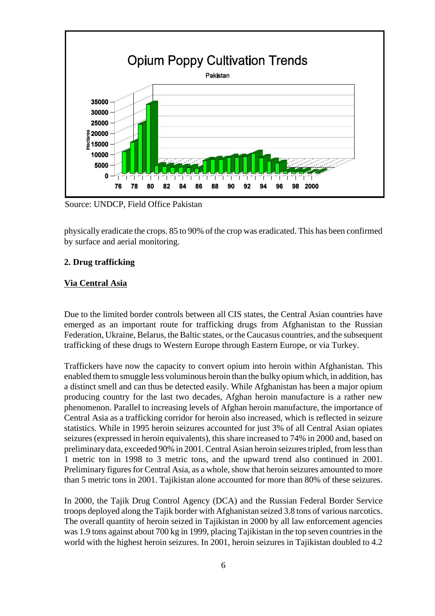

Source: UNDCP, Field Office Pakistan

physically eradicate the crops. 85 to 90% of the crop was eradicated. This has been confirmed by surface and aerial monitoring.

#### **2. Drug trafficking**

#### **Via Central Asia**

Due to the limited border controls between all CIS states, the Central Asian countries have emerged as an important route for trafficking drugs from Afghanistan to the Russian Federation, Ukraine, Belarus, the Baltic states, or the Caucasus countries, and the subsequent trafficking of these drugs to Western Europe through Eastern Europe, or via Turkey.

Traffickers have now the capacity to convert opium into heroin within Afghanistan. This enabled them to smuggle less voluminous heroin than the bulky opium which, in addition, has a distinct smell and can thus be detected easily. While Afghanistan has been a major opium producing country for the last two decades, Afghan heroin manufacture is a rather new phenomenon. Parallel to increasing levels of Afghan heroin manufacture, the importance of Central Asia as a trafficking corridor for heroin also increased, which is reflected in seizure statistics. While in 1995 heroin seizures accounted for just 3% of all Central Asian opiates seizures (expressed in heroin equivalents), this share increased to 74% in 2000 and, based on preliminary data, exceeded 90% in 2001. Central Asian heroin seizures tripled, from less than 1 metric ton in 1998 to 3 metric tons, and the upward trend also continued in 2001. Preliminary figures for Central Asia, as a whole, show that heroin seizures amounted to more than 5 metric tons in 2001. Tajikistan alone accounted for more than 80% of these seizures.

In 2000, the Tajik Drug Control Agency (DCA) and the Russian Federal Border Service troops deployed along the Tajik border with Afghanistan seized 3.8 tons of various narcotics. The overall quantity of heroin seized in Tajikistan in 2000 by all law enforcement agencies was 1.9 tons against about 700 kg in 1999, placing Tajikistan in the top seven countries in the world with the highest heroin seizures. In 2001, heroin seizures in Tajikistan doubled to 4.2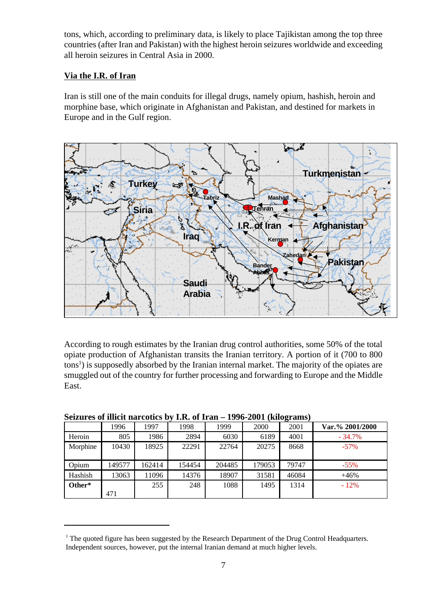tons, which, according to preliminary data, is likely to place Tajikistan among the top three countries (after Iran and Pakistan) with the highest heroin seizures worldwide and exceeding all heroin seizures in Central Asia in 2000.

#### **Via the I.R. of Iran**

Iran is still one of the main conduits for illegal drugs, namely opium, hashish, heroin and morphine base, which originate in Afghanistan and Pakistan, and destined for markets in Europe and in the Gulf region.



According to rough estimates by the Iranian drug control authorities, some 50% of the total opiate production of Afghanistan transits the Iranian territory. A portion of it (700 to 800 tons<sup>1</sup>) is supposedly absorbed by the Iranian internal market. The majority of the opiates are smuggled out of the country for further processing and forwarding to Europe and the Middle East.

| $-0.02$ (and $-0.02$ masses) |        |        |        |        |        |       |                 |
|------------------------------|--------|--------|--------|--------|--------|-------|-----------------|
|                              | 1996   | 1997   | 1998   | 1999   | 2000   | 2001  | Var.% 2001/2000 |
| Heroin                       | 805    | 1986   | 2894   | 6030   | 6189   | 4001  | $-34.7%$        |
| Morphine                     | 10430  | 18925  | 22291  | 22764  | 20275  | 8668  | $-57\%$         |
| Opium                        | 149577 | 162414 | 154454 | 204485 | 179053 | 79747 | $-55%$          |
| Hashish                      | 13063  | 11096  | 14376  | 18907  | 31581  | 46084 | $+46%$          |
| Other*                       |        | 255    | 248    | 1088   | 1495   | 1314  | $-12\%$         |
|                              | 471    |        |        |        |        |       |                 |

**Seizures of illicit narcotics by I.R. of Iran – 1996-2001 (kilograms)**

 $1$  The quoted figure has been suggested by the Research Department of the Drug Control Headquarters. Independent sources, however, put the internal Iranian demand at much higher levels.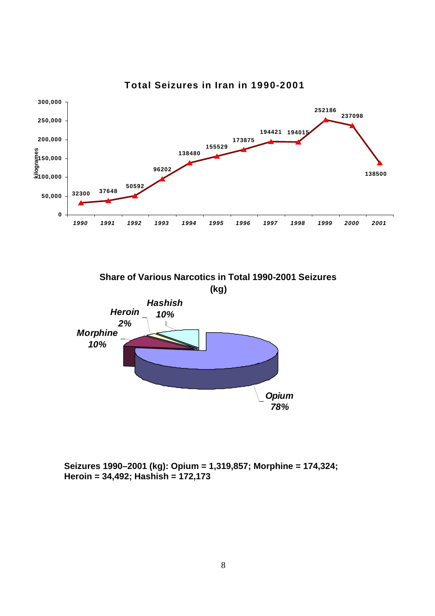

**Total Seizures in Iran in 1990-2001**





**Seizures 1990–2001 (kg): Opium = 1,319,857; Morphine = 174,324; Heroin = 34,492; Hashish = 172,173**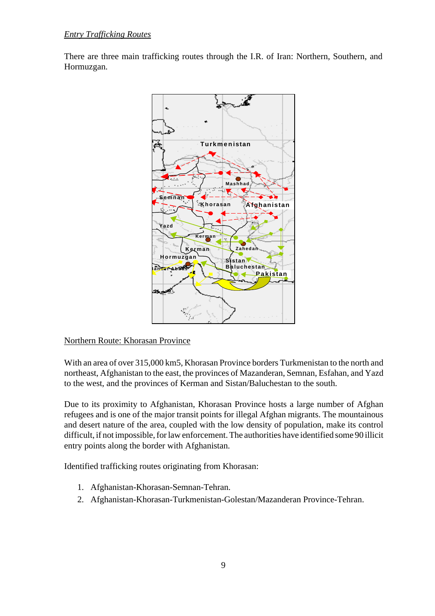# *Entry Trafficking Routes*

There are three main trafficking routes through the I.R. of Iran: Northern, Southern, and Hormuzgan.



#### Northern Route: Khorasan Province

With an area of over 315,000 km5, Khorasan Province borders Turkmenistan to the north and northeast, Afghanistan to the east, the provinces of Mazanderan, Semnan, Esfahan, and Yazd to the west, and the provinces of Kerman and Sistan/Baluchestan to the south.

Due to its proximity to Afghanistan, Khorasan Province hosts a large number of Afghan refugees and is one of the major transit points for illegal Afghan migrants. The mountainous and desert nature of the area, coupled with the low density of population, make its control difficult, if not impossible, for law enforcement. The authorities have identified some 90 illicit entry points along the border with Afghanistan.

Identified trafficking routes originating from Khorasan:

- 1. Afghanistan-Khorasan-Semnan-Tehran.
- 2. Afghanistan-Khorasan-Turkmenistan-Golestan/Mazanderan Province-Tehran.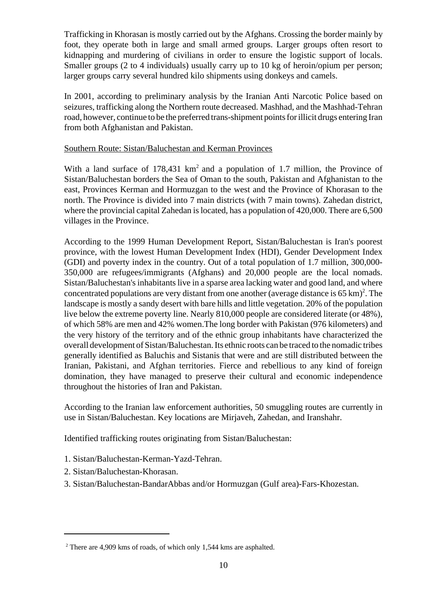Trafficking in Khorasan is mostly carried out by the Afghans. Crossing the border mainly by foot, they operate both in large and small armed groups. Larger groups often resort to kidnapping and murdering of civilians in order to ensure the logistic support of locals. Smaller groups (2 to 4 individuals) usually carry up to 10 kg of heroin/opium per person; larger groups carry several hundred kilo shipments using donkeys and camels.

In 2001, according to preliminary analysis by the Iranian Anti Narcotic Police based on seizures, trafficking along the Northern route decreased. Mashhad, and the Mashhad-Tehran road, however, continue to be the preferred trans-shipment points for illicit drugs entering Iran from both Afghanistan and Pakistan.

#### Southern Route: Sistan/Baluchestan and Kerman Provinces

With a land surface of  $178,431 \text{ km}^2$  and a population of 1.7 million, the Province of Sistan/Baluchestan borders the Sea of Oman to the south, Pakistan and Afghanistan to the east, Provinces Kerman and Hormuzgan to the west and the Province of Khorasan to the north. The Province is divided into 7 main districts (with 7 main towns). Zahedan district, where the provincial capital Zahedan is located, has a population of 420,000. There are 6,500 villages in the Province.

According to the 1999 Human Development Report, Sistan/Baluchestan is Iran's poorest province, with the lowest Human Development Index (HDI), Gender Development Index (GDI) and poverty index in the country. Out of a total population of 1.7 million, 300,000- 350,000 are refugees/immigrants (Afghans) and 20,000 people are the local nomads. Sistan/Baluchestan's inhabitants live in a sparse area lacking water and good land, and where concentrated populations are very distant from one another (average distance is  $65 \text{ km}$ )<sup>2</sup>. The landscape is mostly a sandy desert with bare hills and little vegetation. 20% of the population live below the extreme poverty line. Nearly 810,000 people are considered literate (or 48%), of which 58% are men and 42% women.The long border with Pakistan (976 kilometers) and the very history of the territory and of the ethnic group inhabitants have characterized the overall development of Sistan/Baluchestan. Its ethnic roots can be traced to the nomadic tribes generally identified as Baluchis and Sistanis that were and are still distributed between the Iranian, Pakistani, and Afghan territories. Fierce and rebellious to any kind of foreign domination, they have managed to preserve their cultural and economic independence throughout the histories of Iran and Pakistan.

According to the Iranian law enforcement authorities, 50 smuggling routes are currently in use in Sistan/Baluchestan. Key locations are Mirjaveh, Zahedan, and Iranshahr.

Identified trafficking routes originating from Sistan/Baluchestan:

- 1. Sistan/Baluchestan-Kerman-Yazd-Tehran.
- 2. Sistan/Baluchestan-Khorasan.
- 3. Sistan/Baluchestan-BandarAbbas and/or Hormuzgan (Gulf area)-Fars-Khozestan.

<sup>&</sup>lt;sup>2</sup> There are 4,909 kms of roads, of which only 1,544 kms are asphalted.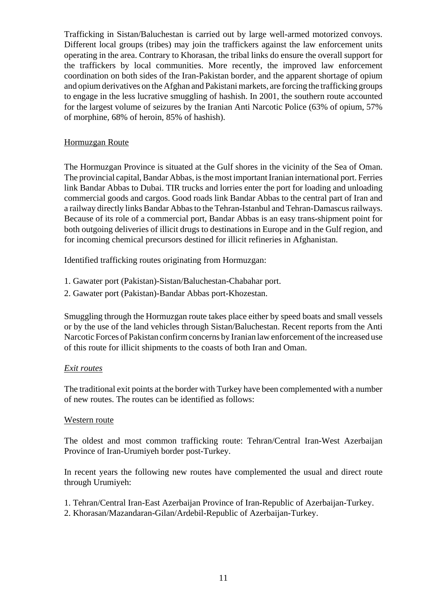Trafficking in Sistan/Baluchestan is carried out by large well-armed motorized convoys. Different local groups (tribes) may join the traffickers against the law enforcement units operating in the area. Contrary to Khorasan, the tribal links do ensure the overall support for the traffickers by local communities. More recently, the improved law enforcement coordination on both sides of the Iran-Pakistan border, and the apparent shortage of opium and opium derivatives on the Afghan and Pakistani markets, are forcing the trafficking groups to engage in the less lucrative smuggling of hashish. In 2001, the southern route accounted for the largest volume of seizures by the Iranian Anti Narcotic Police (63% of opium, 57% of morphine, 68% of heroin, 85% of hashish).

## Hormuzgan Route

The Hormuzgan Province is situated at the Gulf shores in the vicinity of the Sea of Oman. The provincial capital, Bandar Abbas, is the most important Iranian international port. Ferries link Bandar Abbas to Dubai. TIR trucks and lorries enter the port for loading and unloading commercial goods and cargos. Good roads link Bandar Abbas to the central part of Iran and a railway directly links Bandar Abbas to the Tehran-Istanbul and Tehran-Damascus railways. Because of its role of a commercial port, Bandar Abbas is an easy trans-shipment point for both outgoing deliveries of illicit drugs to destinations in Europe and in the Gulf region, and for incoming chemical precursors destined for illicit refineries in Afghanistan.

Identified trafficking routes originating from Hormuzgan:

- 1. Gawater port (Pakistan)-Sistan/Baluchestan-Chabahar port.
- 2. Gawater port (Pakistan)-Bandar Abbas port-Khozestan.

Smuggling through the Hormuzgan route takes place either by speed boats and small vessels or by the use of the land vehicles through Sistan/Baluchestan. Recent reports from the Anti Narcotic Forces of Pakistan confirm concerns by Iranian law enforcement of the increased use of this route for illicit shipments to the coasts of both Iran and Oman.

#### *Exit routes*

The traditional exit points at the border with Turkey have been complemented with a number of new routes. The routes can be identified as follows:

#### Western route

The oldest and most common trafficking route: Tehran/Central Iran-West Azerbaijan Province of Iran-Urumiyeh border post-Turkey.

In recent years the following new routes have complemented the usual and direct route through Urumiyeh:

- 1. Tehran/Central Iran-East Azerbaijan Province of Iran-Republic of Azerbaijan-Turkey.
- 2. Khorasan/Mazandaran-Gilan/Ardebil-Republic of Azerbaijan-Turkey.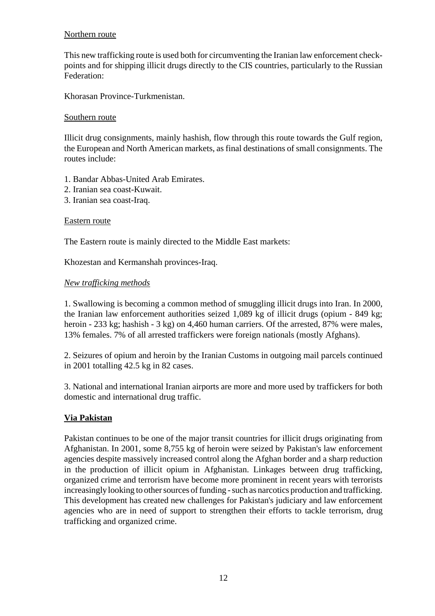## Northern route

This new trafficking route is used both for circumventing the Iranian law enforcement checkpoints and for shipping illicit drugs directly to the CIS countries, particularly to the Russian Federation:

Khorasan Province-Turkmenistan.

#### Southern route

Illicit drug consignments, mainly hashish, flow through this route towards the Gulf region, the European and North American markets, as final destinations of small consignments. The routes include:

- 1. Bandar Abbas-United Arab Emirates.
- 2. Iranian sea coast-Kuwait.
- 3. Iranian sea coast-Iraq.

## Eastern route

The Eastern route is mainly directed to the Middle East markets:

Khozestan and Kermanshah provinces-Iraq.

## *New trafficking methods*

1. Swallowing is becoming a common method of smuggling illicit drugs into Iran. In 2000, the Iranian law enforcement authorities seized 1,089 kg of illicit drugs (opium - 849 kg; heroin - 233 kg; hashish - 3 kg) on 4,460 human carriers. Of the arrested, 87% were males, 13% females. 7% of all arrested traffickers were foreign nationals (mostly Afghans).

2. Seizures of opium and heroin by the Iranian Customs in outgoing mail parcels continued in 2001 totalling 42.5 kg in 82 cases.

3. National and international Iranian airports are more and more used by traffickers for both domestic and international drug traffic.

# **Via Pakistan**

Pakistan continues to be one of the major transit countries for illicit drugs originating from Afghanistan. In 2001, some 8,755 kg of heroin were seized by Pakistan's law enforcement agencies despite massively increased control along the Afghan border and a sharp reduction in the production of illicit opium in Afghanistan. Linkages between drug trafficking, organized crime and terrorism have become more prominent in recent years with terrorists increasingly looking to other sources of funding - such as narcotics production and trafficking. This development has created new challenges for Pakistan's judiciary and law enforcement agencies who are in need of support to strengthen their efforts to tackle terrorism, drug trafficking and organized crime.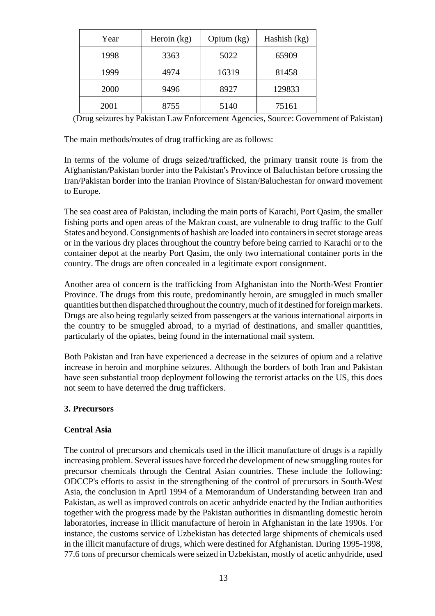| Year | Heroin $(kg)$ | Opium $(kg)$ | Hashish (kg) |  |
|------|---------------|--------------|--------------|--|
| 1998 | 5022<br>3363  |              | 65909        |  |
| 1999 | 4974          | 16319        | 81458        |  |
| 2000 | 9496          | 8927         | 129833       |  |
| 2001 | 8755          | 5140         | 75161        |  |

(Drug seizures by Pakistan Law Enforcement Agencies, Source: Government of Pakistan)

The main methods/routes of drug trafficking are as follows:

In terms of the volume of drugs seized/trafficked, the primary transit route is from the Afghanistan/Pakistan border into the Pakistan's Province of Baluchistan before crossing the Iran/Pakistan border into the Iranian Province of Sistan/Baluchestan for onward movement to Europe.

The sea coast area of Pakistan, including the main ports of Karachi, Port Qasim, the smaller fishing ports and open areas of the Makran coast, are vulnerable to drug traffic to the Gulf States and beyond. Consignments of hashish are loaded into containers in secret storage areas or in the various dry places throughout the country before being carried to Karachi or to the container depot at the nearby Port Qasim, the only two international container ports in the country. The drugs are often concealed in a legitimate export consignment.

Another area of concern is the trafficking from Afghanistan into the North-West Frontier Province. The drugs from this route, predominantly heroin, are smuggled in much smaller quantities but then dispatched throughout the country, much of it destined for foreign markets. Drugs are also being regularly seized from passengers at the various international airports in the country to be smuggled abroad, to a myriad of destinations, and smaller quantities, particularly of the opiates, being found in the international mail system.

Both Pakistan and Iran have experienced a decrease in the seizures of opium and a relative increase in heroin and morphine seizures. Although the borders of both Iran and Pakistan have seen substantial troop deployment following the terrorist attacks on the US, this does not seem to have deterred the drug traffickers.

# **3. Precursors**

# **Central Asia**

The control of precursors and chemicals used in the illicit manufacture of drugs is a rapidly increasing problem. Several issues have forced the development of new smuggling routes for precursor chemicals through the Central Asian countries. These include the following: ODCCP's efforts to assist in the strengthening of the control of precursors in South-West Asia, the conclusion in April 1994 of a Memorandum of Understanding between Iran and Pakistan, as well as improved controls on acetic anhydride enacted by the Indian authorities together with the progress made by the Pakistan authorities in dismantling domestic heroin laboratories, increase in illicit manufacture of heroin in Afghanistan in the late 1990s. For instance, the customs service of Uzbekistan has detected large shipments of chemicals used in the illicit manufacture of drugs, which were destined for Afghanistan. During 1995-1998, 77.6 tons of precursor chemicals were seized in Uzbekistan, mostly of acetic anhydride, used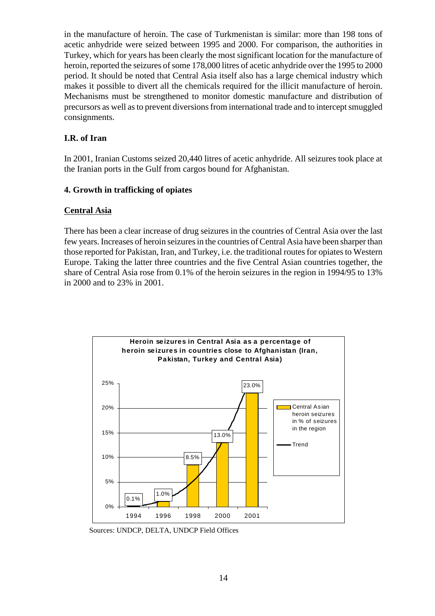in the manufacture of heroin. The case of Turkmenistan is similar: more than 198 tons of acetic anhydride were seized between 1995 and 2000. For comparison, the authorities in Turkey, which for years has been clearly the most significant location for the manufacture of heroin, reported the seizures of some 178,000 litres of acetic anhydride over the 1995 to 2000 period. It should be noted that Central Asia itself also has a large chemical industry which makes it possible to divert all the chemicals required for the illicit manufacture of heroin. Mechanisms must be strengthened to monitor domestic manufacture and distribution of precursors as well as to prevent diversions from international trade and to intercept smuggled consignments.

# **I.R. of Iran**

In 2001, Iranian Customs seized 20,440 litres of acetic anhydride. All seizures took place at the Iranian ports in the Gulf from cargos bound for Afghanistan.

# **4. Growth in trafficking of opiates**

## **Central Asia**

There has been a clear increase of drug seizures in the countries of Central Asia over the last few years. Increases of heroin seizures in the countries of Central Asia have been sharper than those reported for Pakistan, Iran, and Turkey, i.e. the traditional routes for opiates to Western Europe. Taking the latter three countries and the five Central Asian countries together, the share of Central Asia rose from 0.1% of the heroin seizures in the region in 1994/95 to 13% in 2000 and to 23% in 2001.



Sources: UNDCP, DELTA, UNDCP Field Offices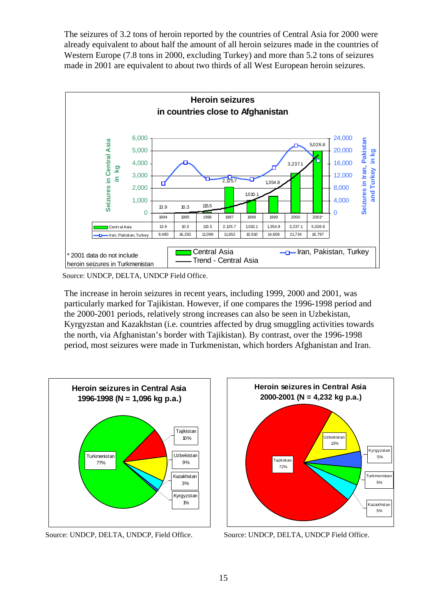The seizures of 3.2 tons of heroin reported by the countries of Central Asia for 2000 were already equivalent to about half the amount of all heroin seizures made in the countries of Western Europe (7.8 tons in 2000, excluding Turkey) and more than 5.2 tons of seizures made in 2001 are equivalent to about two thirds of all West European heroin seizures.



Source: UNDCP, DELTA, UNDCP Field Office.

The increase in heroin seizures in recent years, including 1999, 2000 and 2001, was particularly marked for Tajikistan. However, if one compares the 1996-1998 period and the 2000-2001 periods, relatively strong increases can also be seen in Uzbekistan, Kyrgyzstan and Kazakhstan (i.e. countries affected by drug smuggling activities towards the north, via Afghanistan's border with Tajikistan). By contrast, over the 1996-1998 period, most seizures were made in Turkmenistan, which borders Afghanistan and Iran.



Source: UNDCP, DELTA, UNDCP, Field Office.



Source: UNDCP, DELTA, UNDCP Field Office.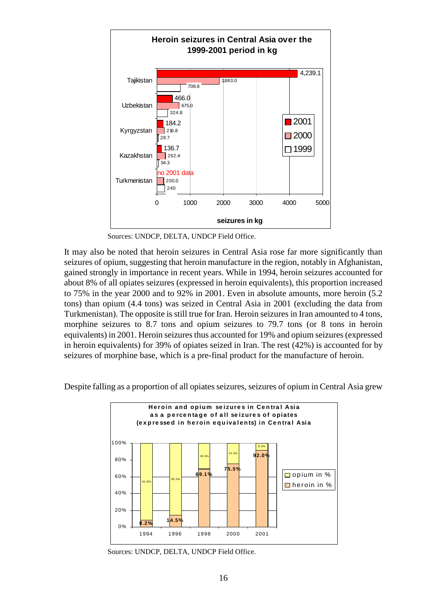

Sources: UNDCP, DELTA, UNDCP Field Office.

It may also be noted that heroin seizures in Central Asia rose far more significantly than seizures of opium, suggesting that heroin manufacture in the region, notably in Afghanistan, gained strongly in importance in recent years. While in 1994, heroin seizures accounted for about 8% of all opiates seizures (expressed in heroin equivalents), this proportion increased to 75% in the year 2000 and to 92% in 2001. Even in absolute amounts, more heroin (5.2 tons) than opium (4.4 tons) was seized in Central Asia in 2001 (excluding the data from Turkmenistan). The opposite is still true for Iran. Heroin seizures in Iran amounted to 4 tons, morphine seizures to 8.7 tons and opium seizures to 79.7 tons (or 8 tons in heroin equivalents) in 2001. Heroin seizures thus accounted for 19% and opium seizures (expressed in heroin equivalents) for 39% of opiates seized in Iran. The rest (42%) is accounted for by seizures of morphine base, which is a pre-final product for the manufacture of heroin.

Despite falling as a proportion of all opiates seizures, seizures of opium in Central Asia grew



Sources: UNDCP, DELTA, UNDCP Field Office.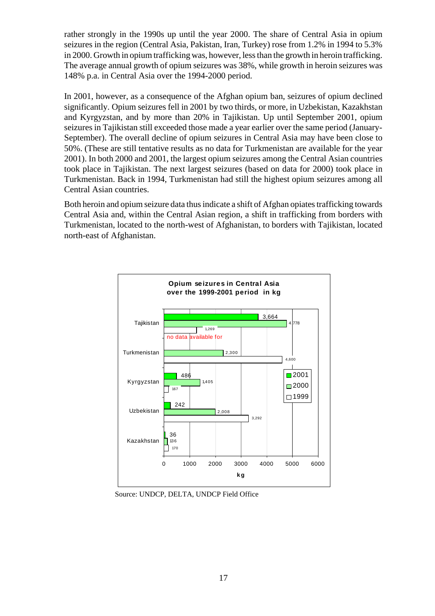rather strongly in the 1990s up until the year 2000. The share of Central Asia in opium seizures in the region (Central Asia, Pakistan, Iran, Turkey) rose from 1.2% in 1994 to 5.3% in 2000. Growth in opium trafficking was, however, less than the growth in heroin trafficking. The average annual growth of opium seizures was 38%, while growth in heroin seizures was 148% p.a. in Central Asia over the 1994-2000 period.

In 2001, however, as a consequence of the Afghan opium ban, seizures of opium declined significantly. Opium seizures fell in 2001 by two thirds, or more, in Uzbekistan, Kazakhstan and Kyrgyzstan, and by more than 20% in Tajikistan. Up until September 2001, opium seizures in Tajikistan still exceeded those made a year earlier over the same period (January-September). The overall decline of opium seizures in Central Asia may have been close to 50%. (These are still tentative results as no data for Turkmenistan are available for the year 2001). In both 2000 and 2001, the largest opium seizures among the Central Asian countries took place in Tajikistan. The next largest seizures (based on data for 2000) took place in Turkmenistan. Back in 1994, Turkmenistan had still the highest opium seizures among all Central Asian countries.

Both heroin and opium seizure data thus indicate a shift of Afghan opiates trafficking towards Central Asia and, within the Central Asian region, a shift in trafficking from borders with Turkmenistan, located to the north-west of Afghanistan, to borders with Tajikistan, located north-east of Afghanistan.



Source: UNDCP, DELTA, UNDCP Field Office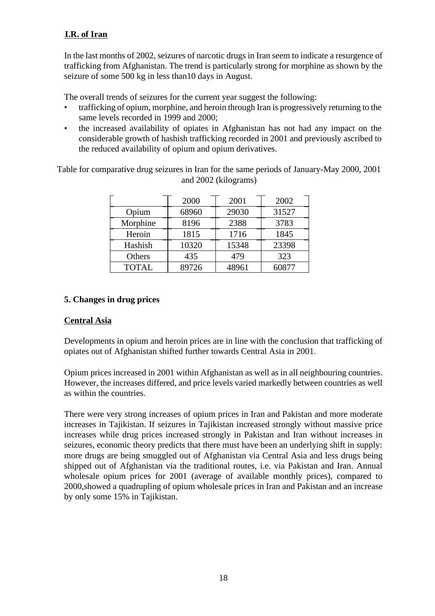# **I.R. of Iran**

In the last months of 2002, seizures of narcotic drugs in Iran seem to indicate a resurgence of trafficking from Afghanistan. The trend is particularly strong for morphine as shown by the seizure of some 500 kg in less than10 days in August.

The overall trends of seizures for the current year suggest the following:

- trafficking of opium, morphine, and heroin through Iran is progressively returning to the same levels recorded in 1999 and 2000;
- the increased availability of opiates in Afghanistan has not had any impact on the considerable growth of hashish trafficking recorded in 2001 and previously ascribed to the reduced availability of opium and opium derivatives.

Table for comparative drug seizures in Iran for the same periods of January-May 2000, 2001 and 2002 (kilograms)

|              | 2000  | 2001  | 2002  |
|--------------|-------|-------|-------|
| Opium        | 68960 | 29030 | 31527 |
| Morphine     | 8196  | 2388  | 3783  |
| Heroin       | 1815  | 1716  | 1845  |
| Hashish      | 10320 | 15348 | 23398 |
| Others       | 435   | 479   | 323   |
| <b>TOTAL</b> | 89726 | 48961 | 60877 |

# **5. Changes in drug prices**

# **Central Asia**

Developments in opium and heroin prices are in line with the conclusion that trafficking of opiates out of Afghanistan shifted further towards Central Asia in 2001.

Opium prices increased in 2001 within Afghanistan as well as in all neighbouring countries. However, the increases differed, and price levels varied markedly between countries as well as within the countries.

There were very strong increases of opium prices in Iran and Pakistan and more moderate increases in Tajikistan. If seizures in Tajikistan increased strongly without massive price increases while drug prices increased strongly in Pakistan and Iran without increases in seizures, economic theory predicts that there must have been an underlying shift in supply: more drugs are being smuggled out of Afghanistan via Central Asia and less drugs being shipped out of Afghanistan via the traditional routes, i.e. via Pakistan and Iran. Annual wholesale opium prices for 2001 (average of available monthly prices), compared to 2000,showed a quadrupling of opium wholesale prices in Iran and Pakistan and an increase by only some 15% in Tajikistan.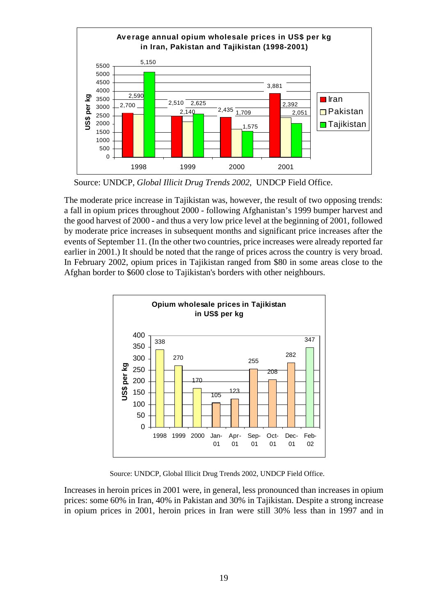

Source: UNDCP, *Global Illicit Drug Trends 2002*, UNDCP Field Office.

The moderate price increase in Tajikistan was, however, the result of two opposing trends: a fall in opium prices throughout 2000 - following Afghanistan's 1999 bumper harvest and the good harvest of 2000 - and thus a very low price level at the beginning of 2001, followed by moderate price increases in subsequent months and significant price increases after the events of September 11. (In the other two countries, price increases were already reported far earlier in 2001.) It should be noted that the range of prices across the country is very broad. In February 2002, opium prices in Tajikistan ranged from \$80 in some areas close to the Afghan border to \$600 close to Tajikistan's borders with other neighbours.



Source: UNDCP, Global Illicit Drug Trends 2002, UNDCP Field Office.

Increases in heroin prices in 2001 were, in general, less pronounced than increases in opium prices: some 60% in Iran, 40% in Pakistan and 30% in Tajikistan. Despite a strong increase in opium prices in 2001, heroin prices in Iran were still 30% less than in 1997 and in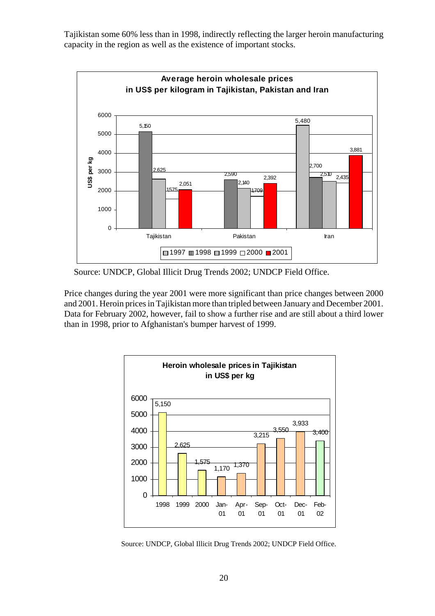Tajikistan some 60% less than in 1998, indirectly reflecting the larger heroin manufacturing capacity in the region as well as the existence of important stocks.



Source: UNDCP, Global Illicit Drug Trends 2002; UNDCP Field Office.

Price changes during the year 2001 were more significant than price changes between 2000 and 2001. Heroin prices in Tajikistan more than tripled between January and December 2001. Data for February 2002, however, fail to show a further rise and are still about a third lower than in 1998, prior to Afghanistan's bumper harvest of 1999.



Source: UNDCP, Global Illicit Drug Trends 2002; UNDCP Field Office.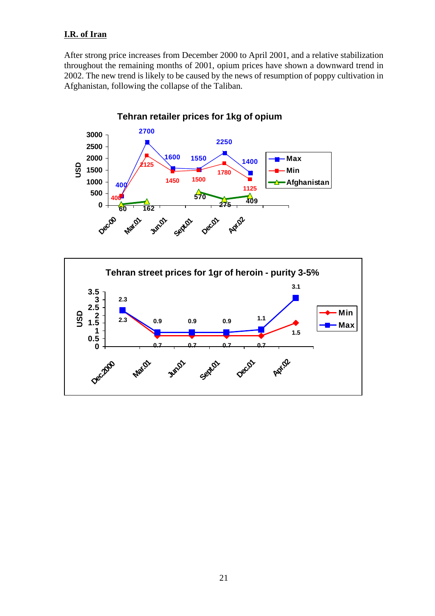# **I.R. of Iran**

After strong price increases from December 2000 to April 2001, and a relative stabilization throughout the remaining months of 2001, opium prices have shown a downward trend in 2002. The new trend is likely to be caused by the news of resumption of poppy cultivation in Afghanistan, following the collapse of the Taliban.



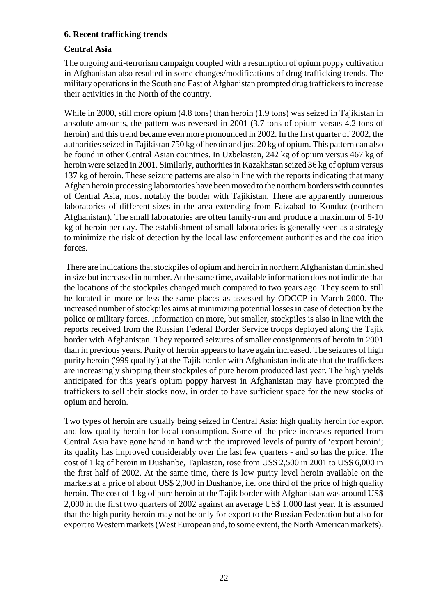# **6. Recent trafficking trends**

# **Central Asia**

The ongoing anti-terrorism campaign coupled with a resumption of opium poppy cultivation in Afghanistan also resulted in some changes/modifications of drug trafficking trends. The military operations in the South and East of Afghanistan prompted drug traffickers to increase their activities in the North of the country.

While in 2000, still more opium (4.8 tons) than heroin (1.9 tons) was seized in Tajikistan in absolute amounts, the pattern was reversed in 2001 (3.7 tons of opium versus 4.2 tons of heroin) and this trend became even more pronounced in 2002. In the first quarter of 2002, the authorities seized in Tajikistan 750 kg of heroin and just 20 kg of opium. This pattern can also be found in other Central Asian countries. In Uzbekistan, 242 kg of opium versus 467 kg of heroin were seized in 2001. Similarly, authorities in Kazakhstan seized 36 kg of opium versus 137 kg of heroin. These seizure patterns are also in line with the reports indicating that many Afghan heroin processing laboratories have been moved to the northern borders with countries of Central Asia, most notably the border with Tajikistan. There are apparently numerous laboratories of different sizes in the area extending from Faizabad to Konduz (northern Afghanistan). The small laboratories are often family-run and produce a maximum of 5-10 kg of heroin per day. The establishment of small laboratories is generally seen as a strategy to minimize the risk of detection by the local law enforcement authorities and the coalition forces.

 There are indications that stockpiles of opium and heroin in northern Afghanistan diminished in size but increased in number. At the same time, available information does not indicate that the locations of the stockpiles changed much compared to two years ago. They seem to still be located in more or less the same places as assessed by ODCCP in March 2000. The increased number of stockpiles aims at minimizing potential losses in case of detection by the police or military forces. Information on more, but smaller, stockpiles is also in line with the reports received from the Russian Federal Border Service troops deployed along the Tajik border with Afghanistan. They reported seizures of smaller consignments of heroin in 2001 than in previous years. Purity of heroin appears to have again increased. The seizures of high purity heroin ('999 quality') at the Tajik border with Afghanistan indicate that the traffickers are increasingly shipping their stockpiles of pure heroin produced last year. The high yields anticipated for this year's opium poppy harvest in Afghanistan may have prompted the traffickers to sell their stocks now, in order to have sufficient space for the new stocks of opium and heroin.

Two types of heroin are usually being seized in Central Asia: high quality heroin for export and low quality heroin for local consumption. Some of the price increases reported from Central Asia have gone hand in hand with the improved levels of purity of 'export heroin'; its quality has improved considerably over the last few quarters - and so has the price. The cost of 1 kg of heroin in Dushanbe, Tajikistan, rose from US\$ 2,500 in 2001 to US\$ 6,000 in the first half of 2002. At the same time, there is low purity level heroin available on the markets at a price of about US\$ 2,000 in Dushanbe, i.e. one third of the price of high quality heroin. The cost of 1 kg of pure heroin at the Tajik border with Afghanistan was around US\$ 2,000 in the first two quarters of 2002 against an average US\$ 1,000 last year. It is assumed that the high purity heroin may not be only for export to the Russian Federation but also for export to Western markets (West European and, to some extent, the North American markets).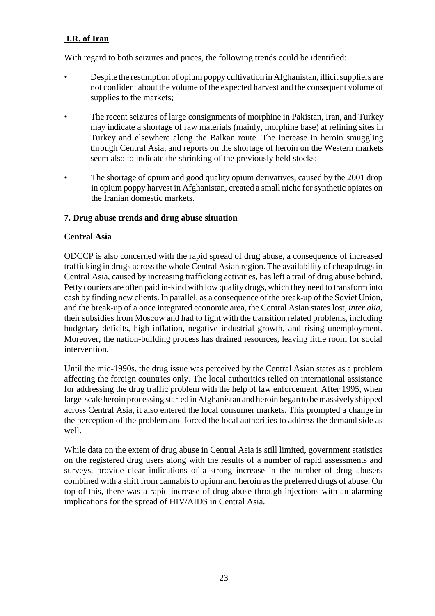# **I.R. of Iran**

With regard to both seizures and prices, the following trends could be identified:

- Despite the resumption of opium poppy cultivation in Afghanistan, illicit suppliers are not confident about the volume of the expected harvest and the consequent volume of supplies to the markets;
- The recent seizures of large consignments of morphine in Pakistan, Iran, and Turkey may indicate a shortage of raw materials (mainly, morphine base) at refining sites in Turkey and elsewhere along the Balkan route. The increase in heroin smuggling through Central Asia, and reports on the shortage of heroin on the Western markets seem also to indicate the shrinking of the previously held stocks;
- The shortage of opium and good quality opium derivatives, caused by the 2001 drop in opium poppy harvest in Afghanistan, created a small niche for synthetic opiates on the Iranian domestic markets.

# **7. Drug abuse trends and drug abuse situation**

# **Central Asia**

ODCCP is also concerned with the rapid spread of drug abuse, a consequence of increased trafficking in drugs across the whole Central Asian region. The availability of cheap drugs in Central Asia, caused by increasing trafficking activities, has left a trail of drug abuse behind. Petty couriers are often paid in-kind with low quality drugs, which they need to transform into cash by finding new clients. In parallel, as a consequence of the break-up of the Soviet Union, and the break-up of a once integrated economic area, the Central Asian states lost, *inter alia,* their subsidies from Moscow and had to fight with the transition related problems, including budgetary deficits, high inflation, negative industrial growth, and rising unemployment. Moreover, the nation-building process has drained resources, leaving little room for social intervention.

Until the mid-1990s, the drug issue was perceived by the Central Asian states as a problem affecting the foreign countries only. The local authorities relied on international assistance for addressing the drug traffic problem with the help of law enforcement. After 1995, when large-scale heroin processing started in Afghanistan and heroin began to be massively shipped across Central Asia, it also entered the local consumer markets. This prompted a change in the perception of the problem and forced the local authorities to address the demand side as well.

While data on the extent of drug abuse in Central Asia is still limited, government statistics on the registered drug users along with the results of a number of rapid assessments and surveys, provide clear indications of a strong increase in the number of drug abusers combined with a shift from cannabis to opium and heroin as the preferred drugs of abuse. On top of this, there was a rapid increase of drug abuse through injections with an alarming implications for the spread of HIV/AIDS in Central Asia.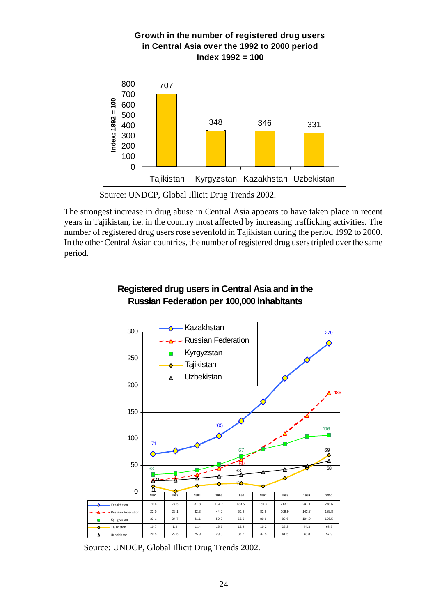

Source: UNDCP, Global Illicit Drug Trends 2002.

The strongest increase in drug abuse in Central Asia appears to have taken place in recent years in Tajikistan, i.e. in the country most affected by increasing trafficking activities. The number of registered drug users rose sevenfold in Tajikistan during the period 1992 to 2000. In the other Central Asian countries, the number of registered drug users tripled over the same period.



Source: UNDCP, Global Illicit Drug Trends 2002.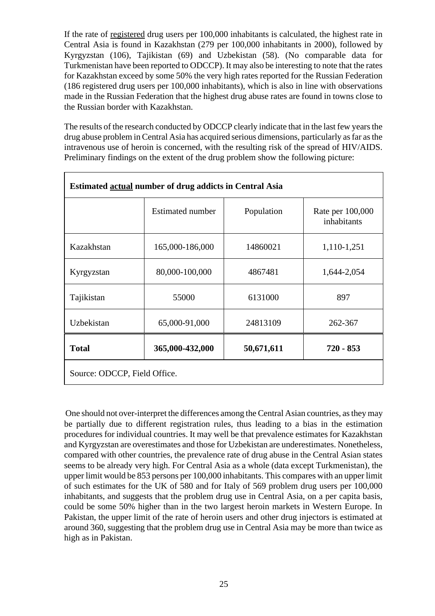If the rate of registered drug users per 100,000 inhabitants is calculated, the highest rate in Central Asia is found in Kazakhstan (279 per 100,000 inhabitants in 2000), followed by Kyrgyzstan (106), Tajikistan (69) and Uzbekistan (58). (No comparable data for Turkmenistan have been reported to ODCCP). It may also be interesting to note that the rates for Kazakhstan exceed by some 50% the very high rates reported for the Russian Federation (186 registered drug users per 100,000 inhabitants), which is also in line with observations made in the Russian Federation that the highest drug abuse rates are found in towns close to the Russian border with Kazakhstan.

The results of the research conducted by ODCCP clearly indicate that in the last few years the drug abuse problem in Central Asia has acquired serious dimensions, particularly as far as the intravenous use of heroin is concerned, with the resulting risk of the spread of HIV/AIDS. Preliminary findings on the extent of the drug problem show the following picture:

| Estimated actual number of drug addicts in Central Asia |                         |            |                                 |  |  |
|---------------------------------------------------------|-------------------------|------------|---------------------------------|--|--|
|                                                         | <b>Estimated number</b> | Population | Rate per 100,000<br>inhabitants |  |  |
| Kazakhstan                                              | 165,000-186,000         | 14860021   | 1,110-1,251                     |  |  |
| Kyrgyzstan                                              | 80,000-100,000          | 4867481    | 1,644-2,054                     |  |  |
| Tajikistan                                              | 55000                   | 6131000    | 897                             |  |  |
| Uzbekistan                                              | 65,000-91,000           | 24813109   | 262-367                         |  |  |
| <b>Total</b>                                            | 365,000-432,000         | 50,671,611 | 720 - 853                       |  |  |
| Source: ODCCP, Field Office.                            |                         |            |                                 |  |  |

One should not over-interpret the differences among the Central Asian countries, as they may be partially due to different registration rules, thus leading to a bias in the estimation procedures for individual countries. It may well be that prevalence estimates for Kazakhstan and Kyrgyzstan are overestimates and those for Uzbekistan are underestimates. Nonetheless, compared with other countries, the prevalence rate of drug abuse in the Central Asian states seems to be already very high. For Central Asia as a whole (data except Turkmenistan), the upper limit would be 853 persons per 100,000 inhabitants. This compares with an upper limit of such estimates for the UK of 580 and for Italy of 569 problem drug users per 100,000 inhabitants, and suggests that the problem drug use in Central Asia, on a per capita basis, could be some 50% higher than in the two largest heroin markets in Western Europe. In Pakistan, the upper limit of the rate of heroin users and other drug injectors is estimated at around 360, suggesting that the problem drug use in Central Asia may be more than twice as high as in Pakistan.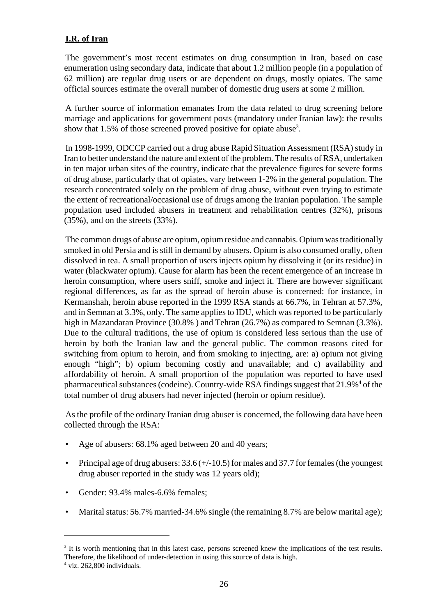# **I.R. of Iran**

The government's most recent estimates on drug consumption in Iran, based on case enumeration using secondary data, indicate that about 1.2 million people (in a population of 62 million) are regular drug users or are dependent on drugs, mostly opiates. The same official sources estimate the overall number of domestic drug users at some 2 million.

A further source of information emanates from the data related to drug screening before marriage and applications for government posts (mandatory under Iranian law): the results show that 1.5% of those screened proved positive for opiate abuse<sup>3</sup>.

In 1998-1999, ODCCP carried out a drug abuse Rapid Situation Assessment (RSA) study in Iran to better understand the nature and extent of the problem. The results of RSA, undertaken in ten major urban sites of the country, indicate that the prevalence figures for severe forms of drug abuse, particularly that of opiates, vary between 1-2% in the general population. The research concentrated solely on the problem of drug abuse, without even trying to estimate the extent of recreational/occasional use of drugs among the Iranian population. The sample population used included abusers in treatment and rehabilitation centres (32%), prisons (35%), and on the streets (33%).

The common drugs of abuse are opium, opium residue and cannabis. Opium was traditionally smoked in old Persia and is still in demand by abusers. Opium is also consumed orally, often dissolved in tea. A small proportion of users injects opium by dissolving it (or its residue) in water (blackwater opium). Cause for alarm has been the recent emergence of an increase in heroin consumption, where users sniff, smoke and inject it. There are however significant regional differences, as far as the spread of heroin abuse is concerned: for instance, in Kermanshah, heroin abuse reported in the 1999 RSA stands at 66.7%, in Tehran at 57.3%, and in Semnan at 3.3%, only. The same applies to IDU, which was reported to be particularly high in Mazandaran Province (30.8% ) and Tehran (26.7%) as compared to Semnan (3.3%). Due to the cultural traditions, the use of opium is considered less serious than the use of heroin by both the Iranian law and the general public. The common reasons cited for switching from opium to heroin, and from smoking to injecting, are: a) opium not giving enough "high"; b) opium becoming costly and unavailable; and c) availability and affordability of heroin. A small proportion of the population was reported to have used pharmaceutical substances (codeine). Country-wide RSA findings suggest that 21.9%<sup>4</sup> of the total number of drug abusers had never injected (heroin or opium residue).

As the profile of the ordinary Iranian drug abuser is concerned, the following data have been collected through the RSA:

- Age of abusers: 68.1% aged between 20 and 40 years;
- Principal age of drug abusers:  $33.6$  (+/-10.5) for males and 37.7 for females (the youngest drug abuser reported in the study was 12 years old);
- Gender: 93.4% males-6.6% females:
- Marital status: 56.7% married-34.6% single (the remaining 8.7% are below marital age);

<sup>&</sup>lt;sup>3</sup> It is worth mentioning that in this latest case, persons screened knew the implications of the test results. Therefore, the likelihood of under-detection in using this source of data is high.

<sup>4</sup> viz. 262,800 individuals.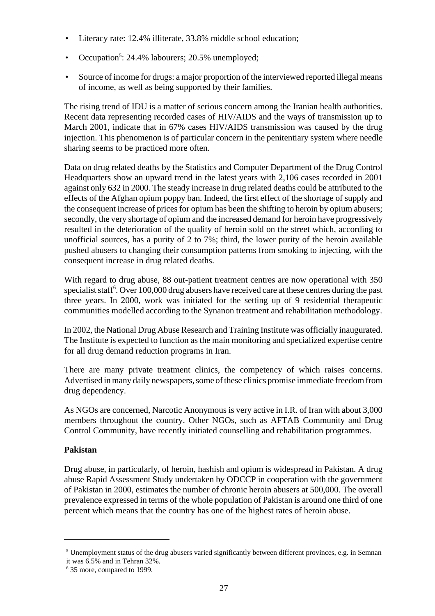- Literacy rate: 12.4% illiterate, 33.8% middle school education;
- Occupation<sup>5</sup>: 24.4% labourers; 20.5% unemployed;
- Source of income for drugs: a major proportion of the interviewed reported illegal means of income, as well as being supported by their families.

The rising trend of IDU is a matter of serious concern among the Iranian health authorities. Recent data representing recorded cases of HIV/AIDS and the ways of transmission up to March 2001, indicate that in 67% cases HIV/AIDS transmission was caused by the drug injection. This phenomenon is of particular concern in the penitentiary system where needle sharing seems to be practiced more often.

Data on drug related deaths by the Statistics and Computer Department of the Drug Control Headquarters show an upward trend in the latest years with 2,106 cases recorded in 2001 against only 632 in 2000. The steady increase in drug related deaths could be attributed to the effects of the Afghan opium poppy ban. Indeed, the first effect of the shortage of supply and the consequent increase of prices for opium has been the shifting to heroin by opium abusers; secondly, the very shortage of opium and the increased demand for heroin have progressively resulted in the deterioration of the quality of heroin sold on the street which, according to unofficial sources, has a purity of 2 to 7%; third, the lower purity of the heroin available pushed abusers to changing their consumption patterns from smoking to injecting, with the consequent increase in drug related deaths.

With regard to drug abuse, 88 out-patient treatment centres are now operational with 350 specialist staff<sup>6</sup>. Over 100,000 drug abusers have received care at these centres during the past three years. In 2000, work was initiated for the setting up of 9 residential therapeutic communities modelled according to the Synanon treatment and rehabilitation methodology.

In 2002, the National Drug Abuse Research and Training Institute was officially inaugurated. The Institute is expected to function as the main monitoring and specialized expertise centre for all drug demand reduction programs in Iran.

There are many private treatment clinics, the competency of which raises concerns. Advertised in many daily newspapers, some of these clinics promise immediate freedom from drug dependency.

As NGOs are concerned, Narcotic Anonymous is very active in I.R. of Iran with about 3,000 members throughout the country. Other NGOs, such as AFTAB Community and Drug Control Community, have recently initiated counselling and rehabilitation programmes.

# **Pakistan**

Drug abuse, in particularly, of heroin, hashish and opium is widespread in Pakistan. A drug abuse Rapid Assessment Study undertaken by ODCCP in cooperation with the government of Pakistan in 2000, estimates the number of chronic heroin abusers at 500,000. The overall prevalence expressed in terms of the whole population of Pakistan is around one third of one percent which means that the country has one of the highest rates of heroin abuse.

<sup>&</sup>lt;sup>5</sup> Unemployment status of the drug abusers varied significantly between different provinces, e.g. in Semnan it was 6.5% and in Tehran 32%.

<sup>&</sup>lt;sup>6</sup> 35 more, compared to 1999.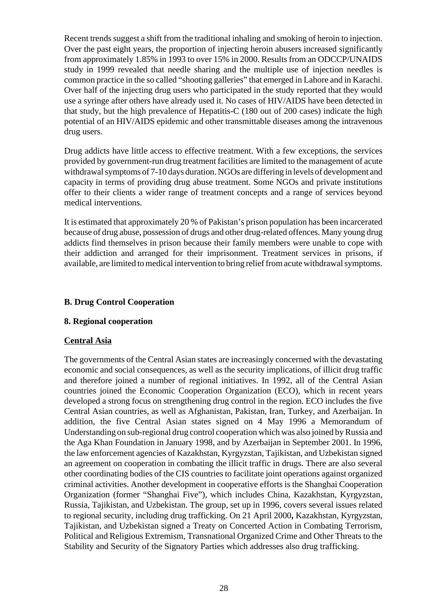Recent trends suggest a shift from the traditional inhaling and smoking of heroin to injection. Over the past eight years, the proportion of injecting heroin abusers increased significantly from approximately 1.85% in 1993 to over 15% in 2000. Results from an ODCCP/UNAIDS study in 1999 revealed that needle sharing and the multiple use of injection needles is common practice in the so called "shooting galleries" that emerged in Lahore and in Karachi. Over half of the injecting drug users who participated in the study reported that they would use a syringe after others have already used it. No cases of HIV/AIDS have been detected in that study, but the high prevalence of Hepatitis-C (180 out of 200 cases) indicate the high potential of an HIV/AIDS epidemic and other transmittable diseases among the intravenous drug users.

Drug addicts have little access to effective treatment. With a few exceptions, the services provided by government-run drug treatment facilities are limited to the management of acute withdrawal symptoms of 7-10 days duration. NGOs are differing in levels of development and capacity in terms of providing drug abuse treatment. Some NGOs and private institutions offer to their clients a wider range of treatment concepts and a range of services beyond medical interventions.

It is estimated that approximately 20 % of Pakistan's prison population has been incarcerated because of drug abuse, possession of drugs and other drug-related offences. Many young drug addicts find themselves in prison because their family members were unable to cope with their addiction and arranged for their imprisonment. Treatment services in prisons, if available, are limited to medical intervention to bring relief from acute withdrawal symptoms.

## **B. Drug Control Cooperation**

#### **8. Regional cooperation**

#### **Central Asia**

The governments of the Central Asian states are increasingly concerned with the devastating economic and social consequences, as well as the security implications, of illicit drug traffic and therefore joined a number of regional initiatives. In 1992, all of the Central Asian countries joined the Economic Cooperation Organization (ECO), which in recent years developed a strong focus on strengthening drug control in the region. ECO includes the five Central Asian countries, as well as Afghanistan, Pakistan, Iran, Turkey, and Azerbaijan. In addition, the five Central Asian states signed on 4 May 1996 a Memorandum of Understanding on sub-regional drug control cooperation which was also joined by Russia and the Aga Khan Foundation in January 1998, and by Azerbaijan in September 2001. In 1996, the law enforcement agencies of Kazakhstan, Kyrgyzstan, Tajikistan, and Uzbekistan signed an agreement on cooperation in combating the illicit traffic in drugs. There are also several other coordinating bodies of the CIS countries to facilitate joint operations against organized criminal activities. Another development in cooperative efforts is the Shanghai Cooperation Organization (former "Shanghai Five"), which includes China, Kazakhstan, Kyrgyzstan, Russia, Tajikistan, and Uzbekistan. The group, set up in 1996, covers several issues related to regional security, including drug trafficking. On 21 April 2000**,** Kazakhstan, Kyrgyzstan, Tajikistan, and Uzbekistan signed a Treaty on Concerted Action in Combating Terrorism, Political and Religious Extremism, Transnational Organized Crime and Other Threats to the Stability and Security of the Signatory Parties which addresses also drug trafficking.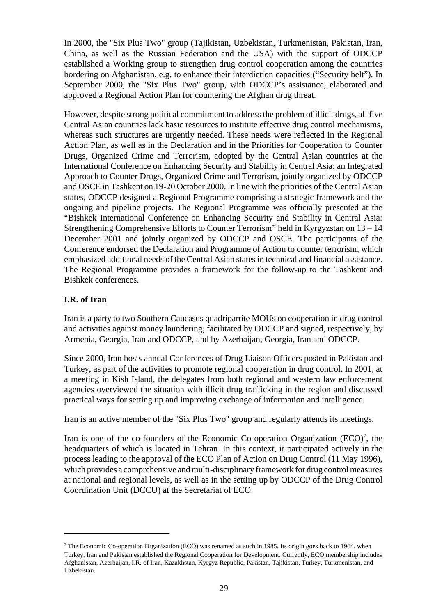In 2000, the "Six Plus Two" group (Tajikistan, Uzbekistan, Turkmenistan, Pakistan, Iran, China, as well as the Russian Federation and the USA) with the support of ODCCP established a Working group to strengthen drug control cooperation among the countries bordering on Afghanistan, e.g. to enhance their interdiction capacities ("Security belt"). In September 2000, the "Six Plus Two" group, with ODCCP's assistance, elaborated and approved a Regional Action Plan for countering the Afghan drug threat.

However, despite strong political commitment to address the problem of illicit drugs, all five Central Asian countries lack basic resources to institute effective drug control mechanisms, whereas such structures are urgently needed. These needs were reflected in the Regional Action Plan, as well as in the Declaration and in the Priorities for Cooperation to Counter Drugs, Organized Crime and Terrorism, adopted by the Central Asian countries at the International Conference on Enhancing Security and Stability in Central Asia: an Integrated Approach to Counter Drugs, Organized Crime and Terrorism, jointly organized by ODCCP and OSCE in Tashkent on 19-20 October 2000. In line with the priorities of the Central Asian states, ODCCP designed a Regional Programme comprising a strategic framework and the ongoing and pipeline projects. The Regional Programme was officially presented at the "Bishkek International Conference on Enhancing Security and Stability in Central Asia: Strengthening Comprehensive Efforts to Counter Terrorism" held in Kyrgyzstan on 13 – 14 December 2001 and jointly organized by ODCCP and OSCE. The participants of the Conference endorsed the Declaration and Programme of Action to counter terrorism, which emphasized additional needs of the Central Asian states in technical and financial assistance. The Regional Programme provides a framework for the follow-up to the Tashkent and Bishkek conferences.

# **I.R. of Iran**

Iran is a party to two Southern Caucasus quadripartite MOUs on cooperation in drug control and activities against money laundering, facilitated by ODCCP and signed, respectively, by Armenia, Georgia, Iran and ODCCP, and by Azerbaijan, Georgia, Iran and ODCCP.

Since 2000, Iran hosts annual Conferences of Drug Liaison Officers posted in Pakistan and Turkey, as part of the activities to promote regional cooperation in drug control. In 2001, at a meeting in Kish Island, the delegates from both regional and western law enforcement agencies overviewed the situation with illicit drug trafficking in the region and discussed practical ways for setting up and improving exchange of information and intelligence.

Iran is an active member of the "Six Plus Two" group and regularly attends its meetings.

Iran is one of the co-founders of the Economic Co-operation Organization  $(ECO)^7$ , the headquarters of which is located in Tehran. In this context, it participated actively in the process leading to the approval of the ECO Plan of Action on Drug Control (11 May 1996), which provides a comprehensive and multi-disciplinary framework for drug control measures at national and regional levels, as well as in the setting up by ODCCP of the Drug Control Coordination Unit (DCCU) at the Secretariat of ECO.

<sup>&</sup>lt;sup>7</sup> The Economic Co-operation Organization (ECO) was renamed as such in 1985. Its origin goes back to 1964, when Turkey, Iran and Pakistan established the Regional Cooperation for Development. Currently, ECO membership includes Afghanistan, Azerbaijan, I.R. of Iran, Kazakhstan, Kyrgyz Republic, Pakistan, Tajikistan, Turkey, Turkmenistan, and Uzbekistan.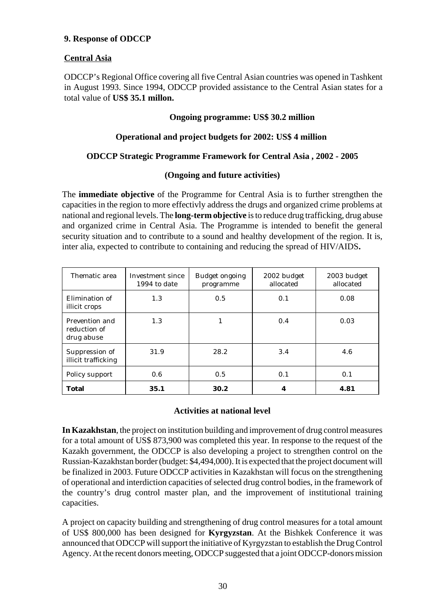## **9. Response of ODCCP**

## **Central Asia**

ODCCP's Regional Office covering all five Central Asian countries was opened in Tashkent in August 1993. Since 1994, ODCCP provided assistance to the Central Asian states for a total value of **US\$ 35.1 millon.**

# **Ongoing programme: US\$ 30.2 million**

## **Operational and project budgets for 2002: US\$ 4 million**

## **ODCCP Strategic Programme Framework for Central Asia , 2002 - 2005**

#### **(Ongoing and future activities)**

The **immediate objective** of the Programme for Central Asia is to further strengthen the capacities in the region to more effectivly address the drugs and organized crime problems at national and regional levels. The **long-term objective** is to reduce drug trafficking, drug abuse and organized crime in Central Asia. The Programme is intended to benefit the general security situation and to contribute to a sound and healthy development of the region. It is, inter alia, expected to contribute to containing and reducing the spread of HIV/AIDS**.**

| Thematic area                                | Investment since<br>1994 to date | Budget ongoing<br>programme | 2002 budget<br>allocated | 2003 budget<br>allocated |
|----------------------------------------------|----------------------------------|-----------------------------|--------------------------|--------------------------|
| Elimination of<br>illicit crops              | 1.3                              | 0.5                         | 0.1                      | 0.08                     |
| Prevention and<br>reduction of<br>drug abuse | 1.3                              | 1                           | 0.4                      | 0.03                     |
| Suppression of<br>illicit trafficking        | 31.9                             | 28.2                        | 3.4                      | 4.6                      |
| Policy support                               | 0.6                              | 0.5                         | 0.1                      | 0.1                      |
| Total                                        | 35.1                             | 30.2                        | 4                        | 4.81                     |

#### **Activities at national level**

**In Kazakhstan**, the project on institution building and improvement of drug control measures for a total amount of US\$ 873,900 was completed this year. In response to the request of the Kazakh government, the ODCCP is also developing a project to strengthen control on the Russian-Kazakhstan border (budget: \$4,494,000). It is expected that the project document will be finalized in 2003. Future ODCCP activities in Kazakhstan will focus on the strengthening of operational and interdiction capacities of selected drug control bodies, in the framework of the country's drug control master plan, and the improvement of institutional training capacities.

A project on capacity building and strengthening of drug control measures for a total amount of US\$ 800,000 has been designed for **Kyrgyzstan**. At the Bishkek Conference it was announced that ODCCP will support the initiative of Kyrgyzstan to establish the Drug Control Agency. At the recent donors meeting, ODCCP suggested that a joint ODCCP-donors mission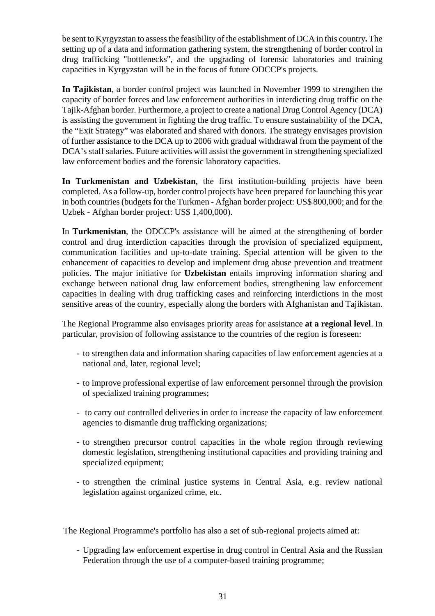be sent to Kyrgyzstan to assess the feasibility of the establishment of DCA in this country**.** The setting up of a data and information gathering system, the strengthening of border control in drug trafficking "bottlenecks", and the upgrading of forensic laboratories and training capacities in Kyrgyzstan will be in the focus of future ODCCP's projects.

**In Tajikistan**, a border control project was launched in November 1999 to strengthen the capacity of border forces and law enforcement authorities in interdicting drug traffic on the Tajik-Afghan border. Furthermore, a project to create a national Drug Control Agency (DCA) is assisting the government in fighting the drug traffic. To ensure sustainability of the DCA, the "Exit Strategy" was elaborated and shared with donors. The strategy envisages provision of further assistance to the DCA up to 2006 with gradual withdrawal from the payment of the DCA's staff salaries. Future activities will assist the government in strengthening specialized law enforcement bodies and the forensic laboratory capacities.

**In Turkmenistan and Uzbekistan**, the first institution-building projects have been completed. As a follow-up, border control projects have been prepared for launching this year in both countries (budgets for the Turkmen - Afghan border project: US\$ 800,000; and for the Uzbek - Afghan border project: US\$ 1,400,000).

In **Turkmenistan**, the ODCCP's assistance will be aimed at the strengthening of border control and drug interdiction capacities through the provision of specialized equipment, communication facilities and up-to-date training. Special attention will be given to the enhancement of capacities to develop and implement drug abuse prevention and treatment policies. The major initiative for **Uzbekistan** entails improving information sharing and exchange between national drug law enforcement bodies, strengthening law enforcement capacities in dealing with drug trafficking cases and reinforcing interdictions in the most sensitive areas of the country, especially along the borders with Afghanistan and Tajikistan.

The Regional Programme also envisages priority areas for assistance **at a regional level**. In particular, provision of following assistance to the countries of the region is foreseen:

- to strengthen data and information sharing capacities of law enforcement agencies at a national and, later, regional level;
- to improve professional expertise of law enforcement personnel through the provision of specialized training programmes;
- to carry out controlled deliveries in order to increase the capacity of law enforcement agencies to dismantle drug trafficking organizations;
- to strengthen precursor control capacities in the whole region through reviewing domestic legislation, strengthening institutional capacities and providing training and specialized equipment;
- to strengthen the criminal justice systems in Central Asia, e.g. review national legislation against organized crime, etc.

The Regional Programme's portfolio has also a set of sub-regional projects aimed at:

- Upgrading law enforcement expertise in drug control in Central Asia and the Russian Federation through the use of a computer-based training programme;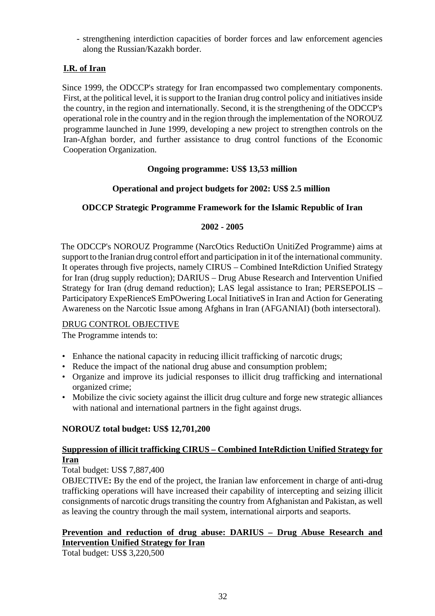- strengthening interdiction capacities of border forces and law enforcement agencies along the Russian/Kazakh border.

# **I.R. of Iran**

Since 1999, the ODCCP's strategy for Iran encompassed two complementary components. First, at the political level, it is support to the Iranian drug control policy and initiatives inside the country, in the region and internationally. Second, it is the strengthening of the ODCCP's operational role in the country and in the region through the implementation of the NOROUZ programme launched in June 1999, developing a new project to strengthen controls on the Iran-Afghan border, and further assistance to drug control functions of the Economic Cooperation Organization.

# **Ongoing programme: US\$ 13,53 million**

# **Operational and project budgets for 2002: US\$ 2.5 million**

# **ODCCP Strategic Programme Framework for the Islamic Republic of Iran**

# **2002 - 2005**

The ODCCP's NOROUZ Programme (NarcOtics ReductiOn UnitiZed Programme) aims at support to the Iranian drug control effort and participation in it of the international community. It operates through five projects, namely CIRUS – Combined InteRdiction Unified Strategy for Iran (drug supply reduction); DARIUS – Drug Abuse Research and Intervention Unified Strategy for Iran (drug demand reduction); LAS legal assistance to Iran; PERSEPOLIS – Participatory ExpeRienceS EmPOwering Local InitiativeS in Iran and Action for Generating Awareness on the Narcotic Issue among Afghans in Iran (AFGANIAI) (both intersectoral).

# DRUG CONTROL OBJECTIVE

The Programme intends to:

- Enhance the national capacity in reducing illicit trafficking of narcotic drugs;
- Reduce the impact of the national drug abuse and consumption problem;
- Organize and improve its judicial responses to illicit drug trafficking and international organized crime;
- Mobilize the civic society against the illicit drug culture and forge new strategic alliances with national and international partners in the fight against drugs.

# **NOROUZ total budget: US\$ 12,701,200**

# **Suppression of illicit trafficking CIRUS – Combined InteRdiction Unified Strategy for Iran**

Total budget: US\$ 7,887,400

OBJECTIVE**:** By the end of the project, the Iranian law enforcement in charge of anti-drug trafficking operations will have increased their capability of intercepting and seizing illicit consignments of narcotic drugs transiting the country from Afghanistan and Pakistan, as well as leaving the country through the mail system, international airports and seaports.

# **Prevention and reduction of drug abuse: DARIUS – Drug Abuse Research and Intervention Unified Strategy for Iran**

Total budget: US\$ 3,220,500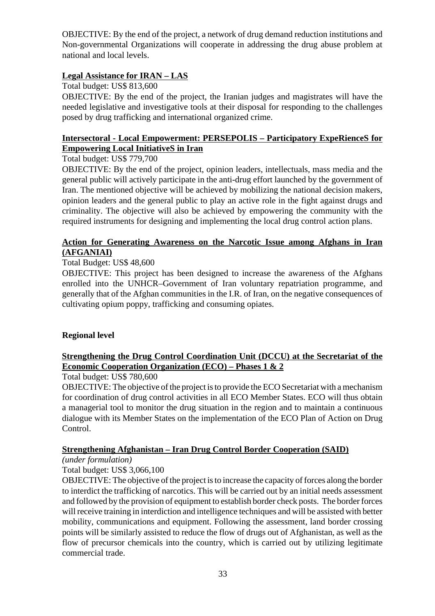OBJECTIVE: By the end of the project, a network of drug demand reduction institutions and Non-governmental Organizations will cooperate in addressing the drug abuse problem at national and local levels.

# **Legal Assistance for IRAN – LAS**

Total budget: US\$ 813,600

OBJECTIVE: By the end of the project, the Iranian judges and magistrates will have the needed legislative and investigative tools at their disposal for responding to the challenges posed by drug trafficking and international organized crime.

# **Intersectoral - Local Empowerment: PERSEPOLIS – Participatory ExpeRienceS for Empowering Local InitiativeS in Iran**

## Total budget: US\$ 779,700

OBJECTIVE: By the end of the project, opinion leaders, intellectuals, mass media and the general public will actively participate in the anti-drug effort launched by the government of Iran. The mentioned objective will be achieved by mobilizing the national decision makers, opinion leaders and the general public to play an active role in the fight against drugs and criminality. The objective will also be achieved by empowering the community with the required instruments for designing and implementing the local drug control action plans.

## **Action for Generating Awareness on the Narcotic Issue among Afghans in Iran (AFGANIAI)**

# Total Budget: US\$ 48,600

OBJECTIVE: This project has been designed to increase the awareness of the Afghans enrolled into the UNHCR–Government of Iran voluntary repatriation programme, and generally that of the Afghan communities in the I.R. of Iran, on the negative consequences of cultivating opium poppy, trafficking and consuming opiates.

# **Regional level**

# **Strengthening the Drug Control Coordination Unit (DCCU) at the Secretariat of the Economic Cooperation Organization (ECO) – Phases 1 & 2**

Total budget: US\$ 780,600

OBJECTIVE: The objective of the project is to provide the ECO Secretariat with a mechanism for coordination of drug control activities in all ECO Member States. ECO will thus obtain a managerial tool to monitor the drug situation in the region and to maintain a continuous dialogue with its Member States on the implementation of the ECO Plan of Action on Drug Control.

#### **Strengthening Afghanistan – Iran Drug Control Border Cooperation (SAID)**

*(under formulation)*

Total budget: US\$ 3,066,100

OBJECTIVE: The objective of the project is to increase the capacity of forces along the border to interdict the trafficking of narcotics. This will be carried out by an initial needs assessment and followed by the provision of equipment to establish border check posts. The border forces will receive training in interdiction and intelligence techniques and will be assisted with better mobility, communications and equipment. Following the assessment, land border crossing points will be similarly assisted to reduce the flow of drugs out of Afghanistan, as well as the flow of precursor chemicals into the country, which is carried out by utilizing legitimate commercial trade.